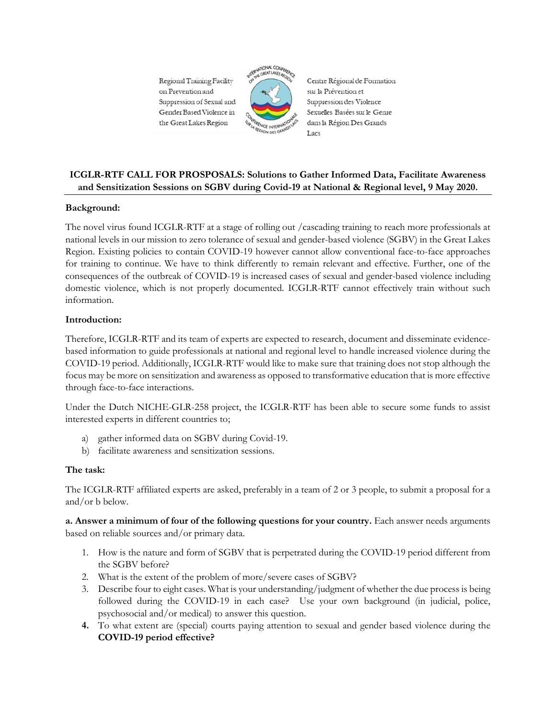Regional Training Facility on Prevention and Suppression of Sexual and Gender Based Violence in the Great Lakes Region



Centre Régional de Formation sur la Prévention et Suppression des Violence Sexuelles Basées sur le Genre dans la Région Des Grands Lacs

# **ICGLR-RTF CALL FOR PROSPOSALS: Solutions to Gather Informed Data, Facilitate Awareness and Sensitization Sessions on SGBV during Covid-19 at National & Regional level, 9 May 2020.**

## **Background:**

The novel virus found ICGLR-RTF at a stage of rolling out /cascading training to reach more professionals at national levels in our mission to zero tolerance of sexual and gender-based violence (SGBV) in the Great Lakes Region. Existing policies to contain COVID-19 however cannot allow conventional face-to-face approaches for training to continue. We have to think differently to remain relevant and effective. Further, one of the consequences of the outbreak of COVID-19 is increased cases of sexual and gender-based violence including domestic violence, which is not properly documented. ICGLR-RTF cannot effectively train without such information.

### **Introduction:**

Therefore, ICGLR-RTF and its team of experts are expected to research, document and disseminate evidencebased information to guide professionals at national and regional level to handle increased violence during the COVID-19 period. Additionally, ICGLR-RTF would like to make sure that training does not stop although the focus may be more on sensitization and awareness as opposed to transformative education that is more effective through face-to-face interactions.

Under the Dutch NICHE-GLR-258 project, the ICGLR-RTF has been able to secure some funds to assist interested experts in different countries to;

- a) gather informed data on SGBV during Covid-19.
- b) facilitate awareness and sensitization sessions.

### **The task:**

The ICGLR-RTF affiliated experts are asked, preferably in a team of 2 or 3 people, to submit a proposal for a and/or b below.

**a. Answer a minimum of four of the following questions for your country.** Each answer needs arguments based on reliable sources and/or primary data.

- 1. How is the nature and form of SGBV that is perpetrated during the COVID-19 period different from the SGBV before?
- 2. What is the extent of the problem of more/severe cases of SGBV?
- 3. Describe four to eight cases. What is your understanding/judgment of whether the due process is being followed during the COVID-19 in each case? Use your own background (in judicial, police, psychosocial and/or medical) to answer this question.
- **4.** To what extent are (special) courts paying attention to sexual and gender based violence during the **COVID-19 period effective?**